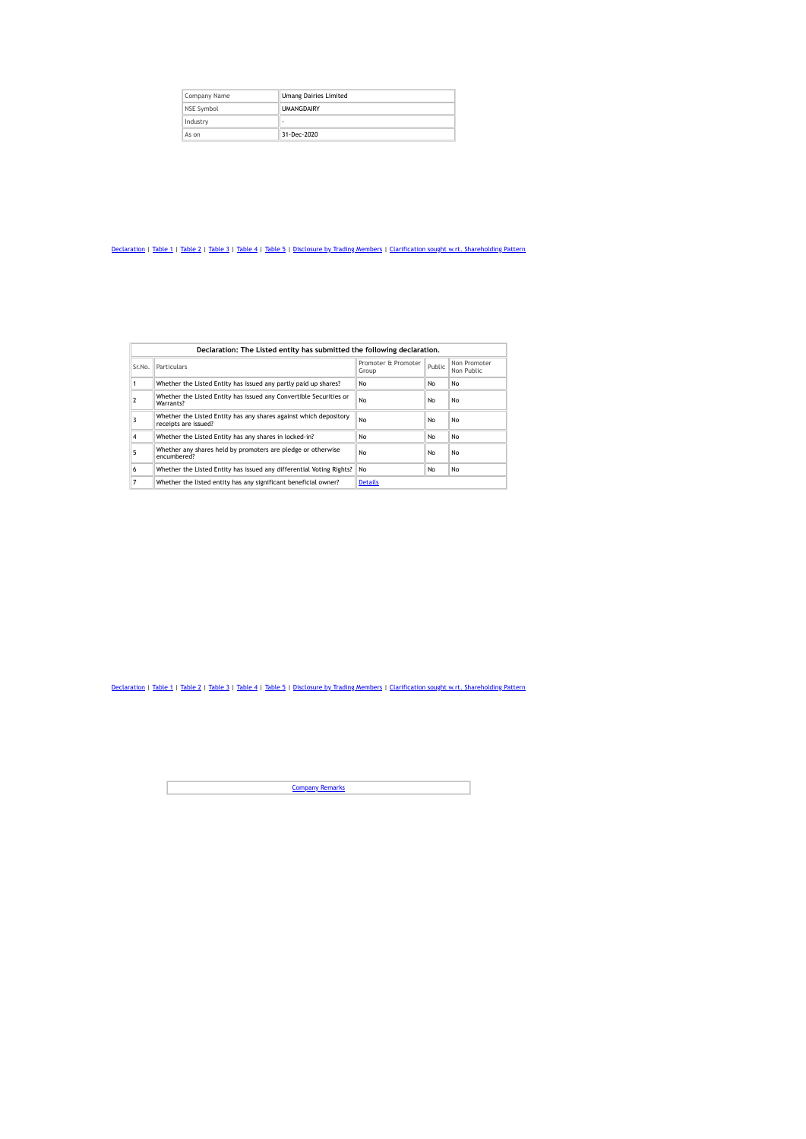| Company Name | <b>Umang Dairies Limited</b> |  |  |  |  |  |
|--------------|------------------------------|--|--|--|--|--|
| NSE Symbol   | <b>UMANGDAIRY</b>            |  |  |  |  |  |
| Industry     |                              |  |  |  |  |  |
| As on        | 31-Dec-2020                  |  |  |  |  |  |

|        | Declaration: The Listed entity has submitted the following declaration.                   |                              |        |                            |  |  |
|--------|-------------------------------------------------------------------------------------------|------------------------------|--------|----------------------------|--|--|
| Sr.No. | <b>Particulars</b>                                                                        | Promoter & Promoter<br>Group | Public | Non Promoter<br>Non Public |  |  |
|        | Whether the Listed Entity has issued any partly paid up shares?                           | No                           | No     | No                         |  |  |
|        | Whether the Listed Entity has issued any Convertible Securities or<br>Warrants?           | No                           | NΩ     | No                         |  |  |
|        | Whether the Listed Entity has any shares against which depository<br>receipts are issued? | No                           | No     | No                         |  |  |
| 4      | Whether the Listed Entity has any shares in locked-in?                                    | No                           | No     | No                         |  |  |
| 5      | Whether any shares held by promoters are pledge or otherwise<br>encumbered?               | No                           | No     | No                         |  |  |
| 6      | Whether the Listed Entity has issued any differential Voting Rights?                      | <b>No</b>                    | No     | No                         |  |  |
| 7      | Whether the listed entity has any significant beneficial owner?                           | <b>Details</b>               |        |                            |  |  |

[Declaration](https://www1.nseindia.com/corporates/shldStructure/patterns.html#) | [Table](https://www1.nseindia.com/corporates/shldStructure/patterns.html#) 1 | Table 2 | Table 3 | Table 4 | Table 5 | [Disclosure](https://www1.nseindia.com/corporates/shldStructure/patterns.html#) by Trading Members | Clarification sought w.rt. [Shareholding](https://www1.nseindia.com/corporates/shldStructure/patterns.html#) Pattern

**[Company](https://www1.nseindia.com/corporates/shldStructure/patterns.html#) Remarks**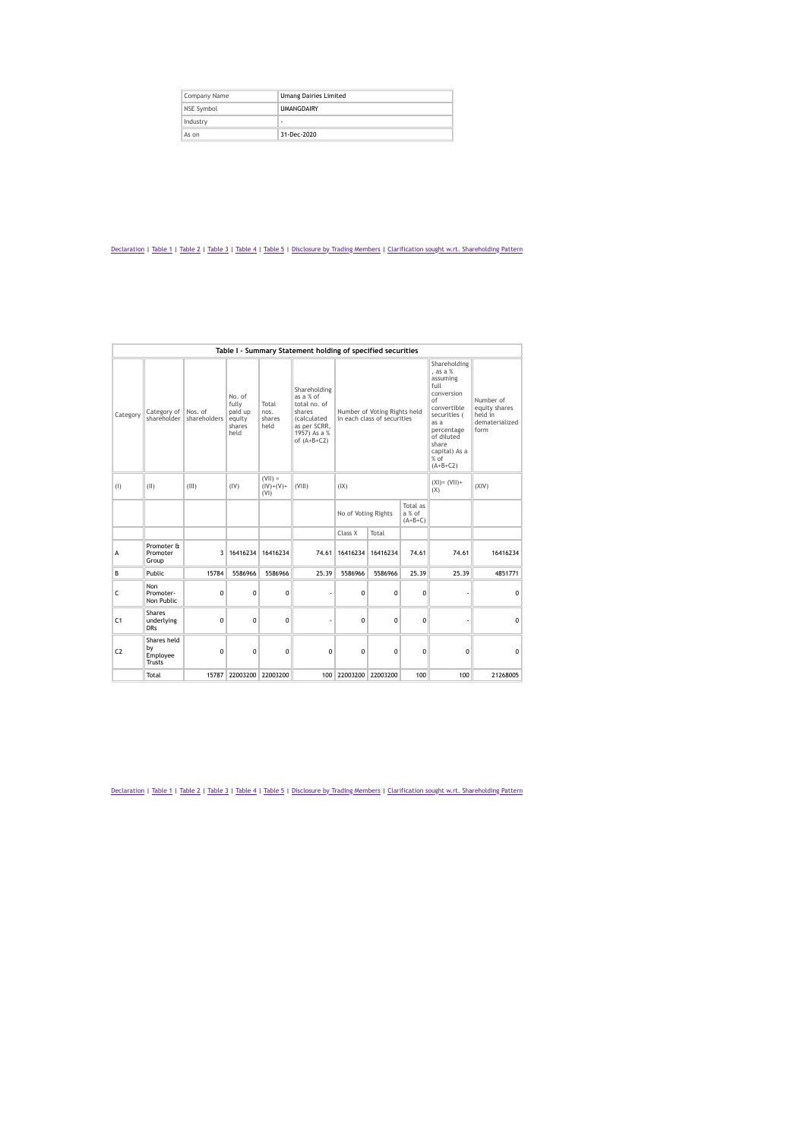| Company Name | <b>Umang Dairies Limited</b> |
|--------------|------------------------------|
| NSE Symbol   | <b>UMANGDAIRY</b>            |
| Industry     | ۰                            |
| As on        | 31-Dec-2020                  |

|                |                                         |                         |                                                        |                                  | Table I - Summary Statement holding of specified securities                                                                |                                                        |                                                             |             |                         |                                                                 |
|----------------|-----------------------------------------|-------------------------|--------------------------------------------------------|----------------------------------|----------------------------------------------------------------------------------------------------------------------------|--------------------------------------------------------|-------------------------------------------------------------|-------------|-------------------------|-----------------------------------------------------------------|
| Category       | Category of<br>shareholder              | Nos. of<br>shareholders | No. of<br>fully<br>paid up<br>equity<br>shares<br>held | Total<br>nos.<br>shares<br>held  | Shareholding<br>as a % of<br>total no. of<br>shares<br><i>(calculated</i><br>as per SCRR.<br>1957) As a %<br>of $(A+B+C2)$ |                                                        | Number of Voting Rights held<br>in each class of securities |             |                         | Number of<br>equity shares<br>held in<br>dematerialized<br>form |
| (1)            | (II)                                    | (III)                   | (IV)                                                   | $(V  ) =$<br>$(IV)+(V)+$<br>(VI) | (VIII)                                                                                                                     | (IX)                                                   |                                                             |             | $(XI) = (VII) +$<br>(X) | (XIV)                                                           |
|                |                                         |                         |                                                        |                                  |                                                                                                                            | Total as<br>No of Voting Rights<br>a % of<br>$(A+B+C)$ |                                                             |             |                         |                                                                 |
|                |                                         |                         |                                                        |                                  |                                                                                                                            | Class X                                                | Total                                                       |             |                         |                                                                 |
| A              | Promoter &<br>Promoter<br>Group         | 3                       | 16416234                                               | 16416234                         | 74.61                                                                                                                      | 16416234                                               | 16416234                                                    | 74.61       | 74.61                   | 16416234                                                        |
| B              | Public                                  | 15784                   | 5586966                                                | 5586966                          | 25.39                                                                                                                      | 5586966                                                | 5586966                                                     | 25.39       | 25.39                   | 4851771                                                         |
| $\mathsf{C}$   | Non<br>Promoter-<br>Non Public          | 0                       | $\mathbf 0$                                            | 0                                |                                                                                                                            | $\mathbf 0$                                            | 0                                                           | $\mathbf 0$ |                         | $\mathbf 0$                                                     |
| C <sub>1</sub> | Shares<br>underlying<br><b>DRs</b>      | $\mathbf 0$             | $\Omega$                                               | $\Omega$                         |                                                                                                                            | $\Omega$                                               | $\Omega$                                                    | $\Omega$    |                         | $\Omega$                                                        |
| C <sub>2</sub> | Shares held<br>by<br>Employee<br>Trusts | $\Omega$                | $\theta$                                               | $\Omega$                         | $\Omega$                                                                                                                   | $\Omega$                                               | $\Omega$                                                    | $\Omega$    | $\mathbf 0$             | $\Omega$                                                        |
|                | Total                                   | 15787                   | 22003200                                               | 22003200                         | 100                                                                                                                        | 22003200                                               | 22003200                                                    | 100         | 100                     | 21268005                                                        |

[Declaration](https://www1.nseindia.com/corporates/shldStructure/patterns.html#) | [Table](https://www1.nseindia.com/corporates/shldStructure/patterns.html#) 1 | Table 2 | Table 3 | Table 4 | Table 5 | [Disclosure](https://www1.nseindia.com/corporates/shldStructure/patterns.html#) by Trading Members | Clarification sought w.rt. [Shareholding](https://www1.nseindia.com/corporates/shldStructure/patterns.html#) Pattern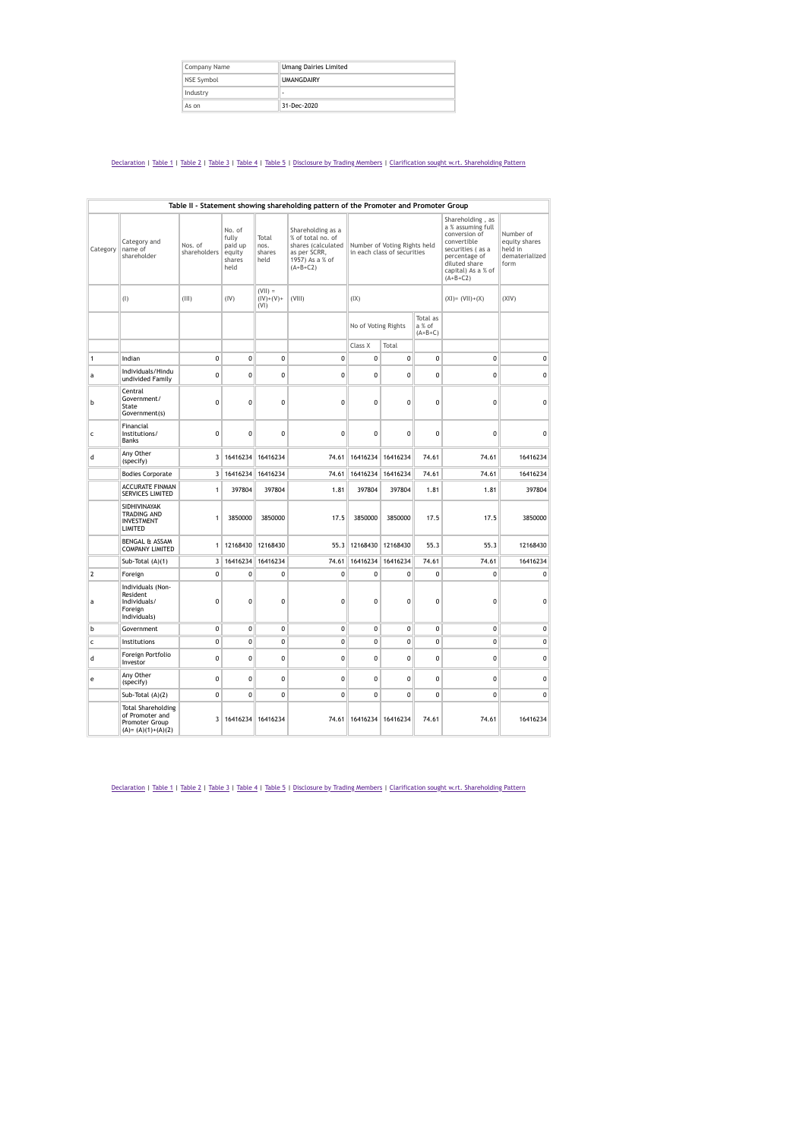| Company Name | <b>Umang Dairies Limited</b> |
|--------------|------------------------------|
| NSE Symbol   | <b>UMANGDAIRY</b>            |
| Industry     |                              |
| As on        | 31-Dec-2020                  |

|                | Table II - Statement showing shareholding pattern of the Promoter and Promoter Group    |                         |                                                        |                                  |                                                                                                               |                                                             |                   |                                 |                                                                                                                                                                 |                                                                 |  |
|----------------|-----------------------------------------------------------------------------------------|-------------------------|--------------------------------------------------------|----------------------------------|---------------------------------------------------------------------------------------------------------------|-------------------------------------------------------------|-------------------|---------------------------------|-----------------------------------------------------------------------------------------------------------------------------------------------------------------|-----------------------------------------------------------------|--|
| Category       | Category and<br>name of<br>shareholder                                                  | Nos. of<br>shareholders | No. of<br>fully<br>paid up<br>equity<br>shares<br>held | Total<br>nos.<br>shares<br>held  | Shareholding as a<br>% of total no. of<br>shares (calculated<br>as per SCRR,<br>1957) As a % of<br>$(A+B+C2)$ | Number of Voting Rights held<br>in each class of securities |                   |                                 | Shareholding, as<br>a % assuming full<br>conversion of<br>convertible<br>securities (as a<br>percentage of<br>diluted share<br>capital) As a % of<br>$(A+B+C2)$ | Number of<br>equity shares<br>held in<br>dematerialized<br>form |  |
|                | (1)                                                                                     | (III)                   | (IV)                                                   | $(VII) =$<br>$(IV)+(V)+$<br>(VI) | (VIII)                                                                                                        | ( X )                                                       |                   |                                 | $(XI) = (VII)+(X)$                                                                                                                                              | (XIV)                                                           |  |
|                |                                                                                         |                         |                                                        |                                  |                                                                                                               | No of Voting Rights                                         |                   | Total as<br>a % of<br>$(A+B+C)$ |                                                                                                                                                                 |                                                                 |  |
|                |                                                                                         |                         |                                                        |                                  |                                                                                                               | Class X                                                     | Total             |                                 |                                                                                                                                                                 |                                                                 |  |
| $\mathbf{1}$   | Indian                                                                                  | $\mathbf 0$             | 0                                                      | 0                                | 0                                                                                                             | 0                                                           | 0                 | $\mathbf{0}$                    | $\mathbf 0$                                                                                                                                                     | 0                                                               |  |
| a              | Individuals/Hindu<br>undivided Family                                                   | 0                       | 0                                                      | $\mathbf 0$                      | 0                                                                                                             | $\mathbf{0}$                                                | $\mathbf 0$       | $\mathbf 0$                     | $\mathbf 0$                                                                                                                                                     | $\mathbf 0$                                                     |  |
| b              | Central<br>Government/<br>State<br>Government(s)                                        | $\mathbf{0}$            | 0                                                      | 0                                | 0                                                                                                             | 0                                                           | $\mathbf 0$       | $\mathbf 0$                     | $\mathbf 0$                                                                                                                                                     | $\mathbf 0$                                                     |  |
| $\mathsf{C}$   | Financial<br>Institutions/<br>Banks                                                     | $\mathbf 0$             | 0                                                      | $\mathbf 0$                      | $\mathbf{0}$                                                                                                  | $\mathbf{0}$<br>$\mathbf 0$                                 |                   | $\mathbf 0$                     | $\mathbf 0$                                                                                                                                                     | $\mathbf 0$                                                     |  |
| d              | Any Other<br>(specify)                                                                  |                         | 3 16416234                                             | 16416234                         | 74.61                                                                                                         | 16416234 16416234                                           |                   | 74.61                           | 74.61                                                                                                                                                           | 16416234                                                        |  |
|                | <b>Bodies Corporate</b>                                                                 |                         | 3 16416234                                             | 16416234                         | 74.61                                                                                                         |                                                             | 16416234 16416234 | 74.61                           | 74.61                                                                                                                                                           | 16416234                                                        |  |
|                | <b>ACCURATE FINMAN</b><br>SERVICES LIMITED                                              | 1                       | 397804                                                 | 397804                           | 1.81                                                                                                          | 397804                                                      | 397804            | 1.81                            | 1.81                                                                                                                                                            | 397804                                                          |  |
|                | SIDHIVINAYAK<br>TRADING AND<br>INVESTMENT<br>LIMITED                                    | 1                       | 3850000                                                | 3850000                          | 17.5                                                                                                          | 3850000                                                     | 3850000           | 17.5                            | 17.5                                                                                                                                                            | 3850000                                                         |  |
|                | <b>BENGAL &amp; ASSAM</b><br><b>COMPANY LIMITED</b>                                     | 1                       | 12168430                                               | 12168430                         | 55.3                                                                                                          | 12168430                                                    | 12168430          | 55.3                            | 55.3                                                                                                                                                            | 12168430                                                        |  |
|                | Sub-Total (A)(1)                                                                        | $\overline{\mathbf{3}}$ | 16416234                                               | 16416234                         | 74.61                                                                                                         | 16416234                                                    | 16416234          | 74.61                           | 74.61                                                                                                                                                           | 16416234                                                        |  |
| $\overline{2}$ | Foreign                                                                                 | $\mathbf 0$             | 0                                                      | 0                                | 0                                                                                                             | 0                                                           | 0                 | $\mathbf{0}$                    | $\mathbf 0$                                                                                                                                                     | $\mathbf 0$                                                     |  |
| a              | Individuals (Non-<br>Resident<br>Individuals/<br>Foreign<br>Individuals)                | 0                       | 0                                                      | 0                                | $\mathbf{0}$                                                                                                  | 0<br>0                                                      |                   | 0                               | $\mathbf 0$                                                                                                                                                     | 0                                                               |  |
| b              | Government                                                                              | 0                       | 0                                                      | 0                                | 0                                                                                                             | 0<br>0                                                      |                   | $\mathbf{0}$                    | $\mathbf 0$                                                                                                                                                     | 0                                                               |  |
| $\mathsf{C}$   | Institutions                                                                            | 0                       | 0                                                      | 0                                | 0                                                                                                             | 0                                                           | 0                 | 0                               | 0                                                                                                                                                               | 0                                                               |  |
| d              | Foreign Portfolio<br>Investor                                                           | $\mathbf 0$             | 0                                                      | $\mathbf 0$                      | $\mathbf{0}$                                                                                                  | $\mathbf{0}$                                                | $\mathbf 0$       |                                 | $\mathbf 0$                                                                                                                                                     | 0                                                               |  |
| e              | Any Other<br>(specify)                                                                  | 0                       | 0                                                      | 0                                | $\mathbf{0}$                                                                                                  | $\mathbf{0}$                                                | $\mathbf 0$       | $\mathbf 0$                     | $\mathbf 0$                                                                                                                                                     | 0                                                               |  |
|                | Sub-Total (A)(2)                                                                        | $\mathbf 0$             | $\mathbf 0$                                            | 0                                | 0                                                                                                             | $\mathbf{0}$                                                | 0                 | $\mathbf 0$                     | $\mathbf 0$                                                                                                                                                     | $\mathbf{0}$                                                    |  |
|                | <b>Total Shareholding</b><br>of Promoter and<br>Promoter Group<br>$(A) = (A)(1)+(A)(2)$ |                         | 3 16416234 16416234                                    |                                  | 74.61                                                                                                         | 16416234 16416234                                           |                   | 74.61                           | 74.61                                                                                                                                                           | 16416234                                                        |  |

[Declaration](https://www1.nseindia.com/corporates/shldStructure/patterns.html#) | [Table](https://www1.nseindia.com/corporates/shldStructure/patterns.html#) 1 | Table 2 | Table 3 | Table 4 | Table 5 | [Disclosure](https://www1.nseindia.com/corporates/shldStructure/patterns.html#) by Trading Members | Clarification sought w.rt. [Shareholding](https://www1.nseindia.com/corporates/shldStructure/patterns.html#) Pattern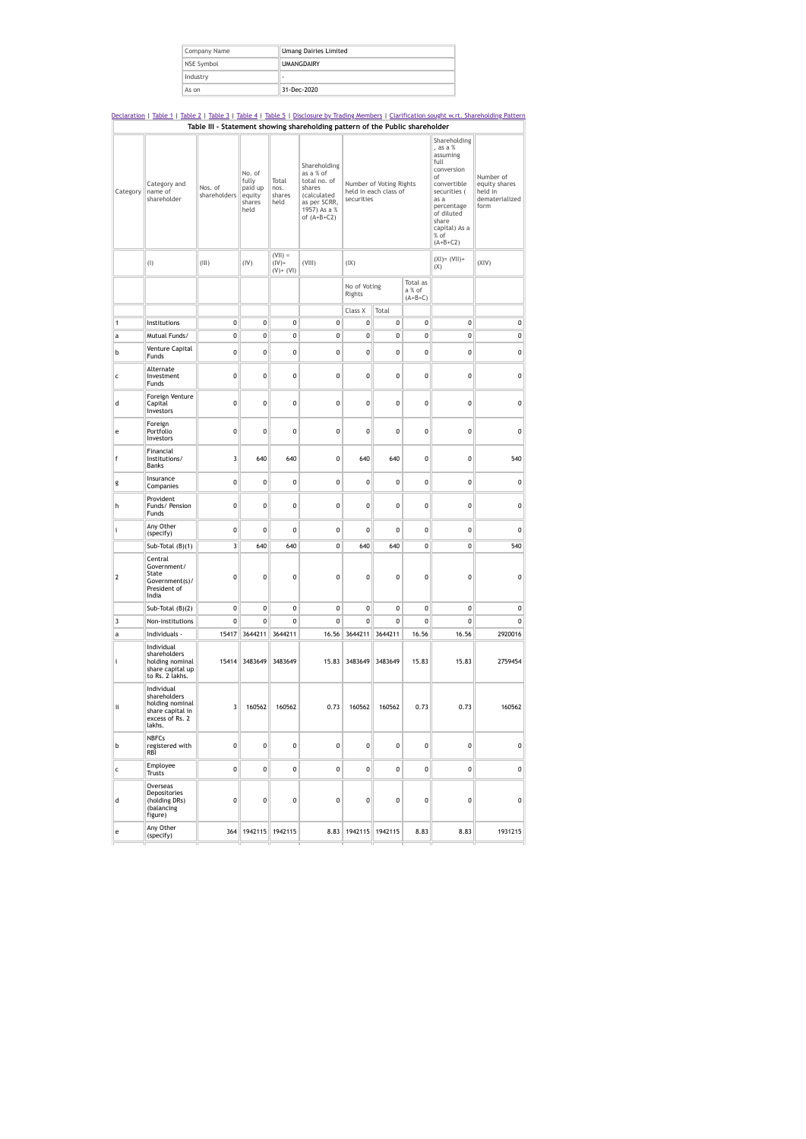| Company Name | <b>Umang Dairies Limited</b> |  |  |  |  |  |
|--------------|------------------------------|--|--|--|--|--|
| NSE Symbol   | <b>UMANGDAIRY</b>            |  |  |  |  |  |
| Industry     |                              |  |  |  |  |  |
| As on        | 31-Dec-2020                  |  |  |  |  |  |

## [Declaration](https://www1.nseindia.com/corporates/shldStructure/patterns.html#) | [Table](https://www1.nseindia.com/corporates/shldStructure/patterns.html#) 1 | [Table](https://www1.nseindia.com/corporates/shldStructure/patterns.html#) 2 | [Table](https://www1.nseindia.com/corporates/shldStructure/patterns.html#) 3 | [Table](https://www1.nseindia.com/corporates/shldStructure/patterns.html#) 4 | [Table](https://www1.nseindia.com/corporates/shldStructure/patterns.html#) 5 | [Disclosure](https://www1.nseindia.com/corporates/shldStructure/patterns.html#) by Trading Members | Clarification sought w.rt. [Shareholding](https://www1.nseindia.com/corporates/shldStructure/patterns.html#) Pattern **Table III - Statement showing shareholding pattern of the Public shareholder** Category Category and name of shareholder Nos. of shareholders No. of fully paid up equity shares held Total nos. shares held Shareholding as a % of total no. of shares (calculated as per SCRR, 1957) As a % of (A+B+C2) Number of Voting Rights held in each class of securities Shareholding , as a % assuming full conversion of convertible securities ( as a percentage of diluted share capital) As a % of (A+B+C2) Number of equity shares held in dematerialized form (I)  $\|$  (III)  $\|$  (IV) (VII) = (IV)+ (V)+ (VI) (VIII) (IX) (XI)= (VII)+ (X)  $(xiv)$ No of Voting Rights Total as a % of (A+B+C) Class X Total 1 Institutions 0 0 0 0 0 0 0 0 0 a Mutual Funds/ 0 0 0 0 0 0 0 0 0 <sup>b</sup> Venture Capital Funds <sup>0</sup> <sup>0</sup> <sup>0</sup> <sup>0</sup> <sup>0</sup> <sup>0</sup> <sup>0</sup> <sup>0</sup> <sup>0</sup> c Alternate Investment Funds 0 0 0 0 0 0 0 0 0 d Foreign Venture Capital Investors 0 0 0 0 0 0 0 0 0 e Foreign Portfolio Investors 0 0 0 0 0 0 0 0 0 f Financial Institutions/ Banks 3 640 640 0 640 640 0 0 540 g Insurance<br>Companies Companies <sup>0</sup> <sup>0</sup> <sup>0</sup> <sup>0</sup> <sup>0</sup> <sup>0</sup> <sup>0</sup> <sup>0</sup> <sup>0</sup> h Provident Funds/ Pension Funds 0 0 0 0 0 0 0 0 0 i Any Other<br>(specify) (specify) <sup>0</sup> <sup>0</sup> <sup>0</sup> <sup>0</sup> <sup>0</sup> <sup>0</sup> <sup>0</sup> <sup>0</sup> <sup>0</sup> Sub-Total (B)(1) 3 640 640 0 640 640 0 0 540 2 Central Government/ State Government(s)/ President of India 0 0 0 0 0 0 0 0 0  $Sub-Total (B)(2)$  0 0 0 0 0 0 0 0 0 0 3 Non-institutions 0 0 0 0 0 0 0 0 0 a Individuals 15417 3644211 3644211 16.56 3644211 3644211 16.56 16.56 2920016 i Individual shareholders holding nominal share capital up to Rs. 2 lakhs. 15414 3483649 3483649 15.83 3483649 3483649 15.83 15.83 2759454 ii Individual shareholders holding nominal share capital in excess of Rs. 2 lakhs. 3 160562 160562 0.73 160562 160562 0.73 0.73 160562 b NBFCs registered with RBI 0 0 0 0 0 0 0 0 0 c Employee<br>Trusts Trusts <sup>0</sup> <sup>0</sup> <sup>0</sup> <sup>0</sup> <sup>0</sup> <sup>0</sup> <sup>0</sup> <sup>0</sup> <sup>0</sup> d Overseas Depositories (holding DRs) (balancing figure) 0 0 0 0 0 0 0 0 0 e Any Other<br>(specify) (specify) <sup>364</sup> <sup>1942115</sup> <sup>1942115</sup> 8.83 <sup>1942115</sup> <sup>1942115</sup> 8.83 8.83 <sup>1931215</sup>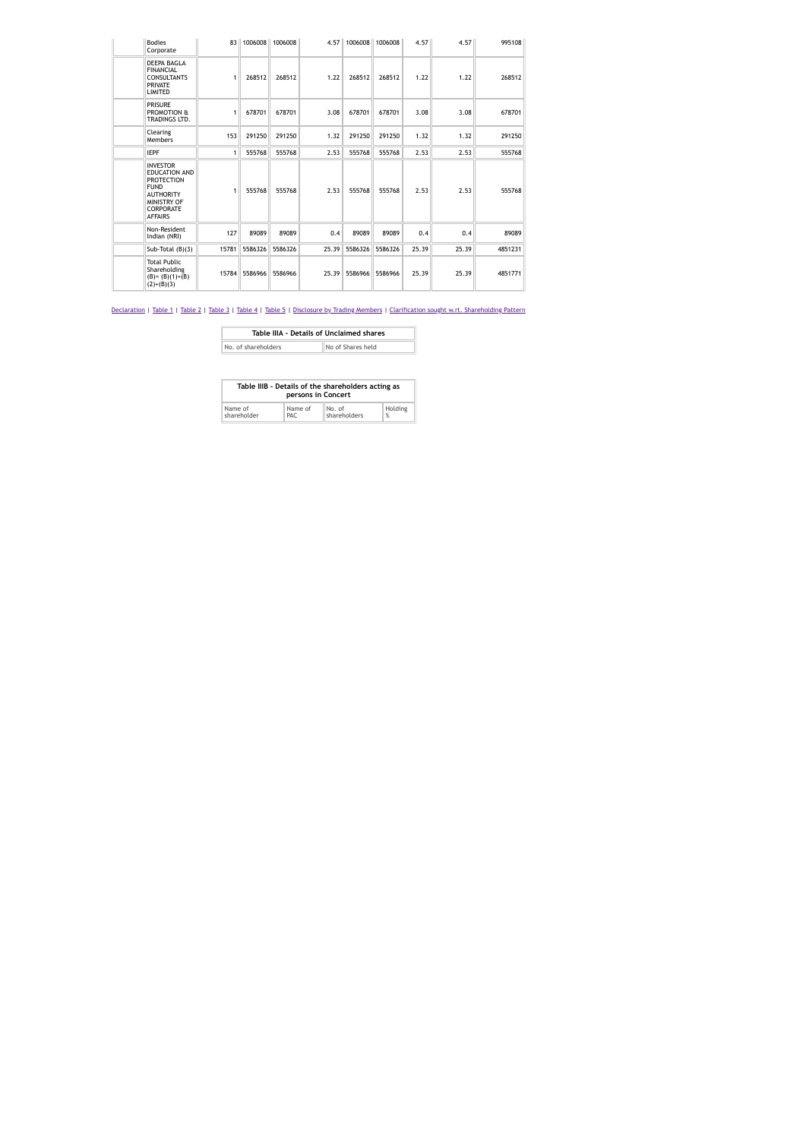| <b>Bodies</b><br>Corporate                                                                                                                           |       | 83 1006008    | 1006008 |       | 4.57 1006008  | 1006008 | 4.57  | 4.57  | 995108  |
|------------------------------------------------------------------------------------------------------------------------------------------------------|-------|---------------|---------|-------|---------------|---------|-------|-------|---------|
| DEEPA BAGLA<br><b>FINANCIAL</b><br><b>CONSULTANTS</b><br><b>PRIVATE</b><br><b>LIMITED</b>                                                            | 1     | 268512        | 268512  | 1.22  | 268512        | 268512  | 1.22  | 1.22  | 268512  |
| <b>PRISURE</b><br>PROMOTION &<br>TRADINGS LTD.                                                                                                       | 1     | 678701        | 678701  | 3.08  | 678701        | 678701  | 3.08  | 3.08  | 678701  |
| Clearing<br><b>Members</b>                                                                                                                           | 153   | 291250        | 291250  | 1.32  | 291250        | 291250  | 1.32  | 1.32  | 291250  |
| <b>IEPF</b>                                                                                                                                          | 1     | 555768        | 555768  | 2.53  | 555768        | 555768  | 2.53  | 2.53  | 555768  |
| <b>INVESTOR</b><br><b>EDUCATION AND</b><br><b>PROTECTION</b><br><b>FUND</b><br><b>AUTHORITY</b><br>MINISTRY OF<br><b>CORPORATE</b><br><b>AFFAIRS</b> |       | 555768        | 555768  | 2.53  | 555768        | 555768  | 2.53  | 2.53  | 555768  |
| Non-Resident<br>Indian (NRI)                                                                                                                         | 127   | 89089         | 89089   | 0.4   | 89089         | 89089   | 0.4   | 0.4   | 89089   |
| Sub-Total $(B)(3)$                                                                                                                                   | 15781 | 5586326       | 5586326 | 25.39 | 5586326       | 5586326 | 25.39 | 25.39 | 4851231 |
| <b>Total Public</b><br>Shareholding<br>$(B)=(B)(1)+(B)$<br>$(2)+(B)(3)$                                                                              |       | 15784 5586966 | 5586966 |       | 25.39 5586966 | 5586966 | 25.39 | 25.39 | 4851771 |

| Table IIIA - Details of Unclaimed shares |                   |
|------------------------------------------|-------------------|
| No. of shareholders                      | No of Shares held |
|                                          |                   |

| Table IIIB - Details of the shareholders acting as<br>persons in Concert |         |              |                     |  |  |  |  |
|--------------------------------------------------------------------------|---------|--------------|---------------------|--|--|--|--|
| Name of                                                                  | Name of | No. of       | Holding             |  |  |  |  |
| shareholder                                                              | PAC.    | shareholders | $\frac{\alpha}{20}$ |  |  |  |  |